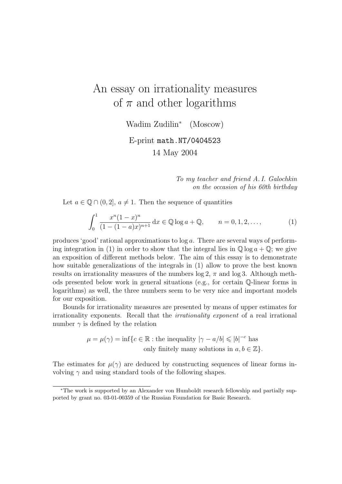# An essay on irrationality measures of  $\pi$  and other logarithms

Wadim Zudilin<sup>∗</sup> (Moscow)

E-print math.NT/0404523 14 May 2004

> To my teacher and friend A. I. Galochkin on the occasion of his 60th birthday

Let  $a \in \mathbb{Q} \cap (0, 2], a \neq 1$ . Then the sequence of quantities

$$
\int_0^1 \frac{x^n (1-x)^n}{(1-(1-a)x)^{n+1}} dx \in \mathbb{Q} \log a + \mathbb{Q}, \qquad n = 0, 1, 2, \dots,
$$
 (1)

produces 'good' rational approximations to log a. There are several ways of performing integration in (1) in order to show that the integral lies in  $\mathbb{O} \log a + \mathbb{O}$ ; we give an exposition of different methods below. The aim of this essay is to demonstrate how suitable generalizations of the integrals in (1) allow to prove the best known results on irrationality measures of the numbers  $\log 2$ ,  $\pi$  and  $\log 3$ . Although methods presented below work in general situations (e.g., for certain Q-linear forms in logarithms) as well, the three numbers seem to be very nice and important models for our exposition.

Bounds for irrationality measures are presented by means of upper estimates for irrationality exponents. Recall that the irrationality exponent of a real irrational number  $\gamma$  is defined by the relation

> $\mu = \mu(\gamma) = \inf \{ c \in \mathbb{R} : \text{the inequality } |\gamma - a/b| \leqslant |b|^{-c} \text{ has }$ only finitely many solutions in  $a, b \in \mathbb{Z}$ .

The estimates for  $\mu(\gamma)$  are deduced by constructing sequences of linear forms involving  $\gamma$  and using standard tools of the following shapes.

<sup>∗</sup>The work is supported by an Alexander von Humboldt research fellowship and partially supported by grant no. 03-01-00359 of the Russian Foundation for Basic Research.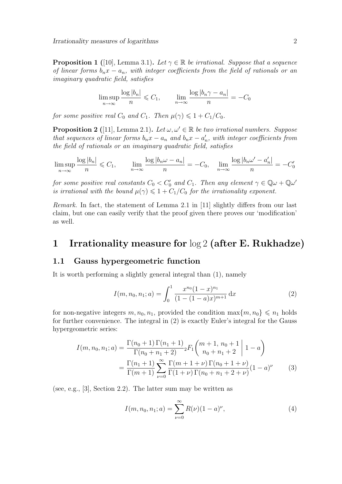**Proposition 1** ([10], Lemma 3.1). Let  $\gamma \in \mathbb{R}$  be irrational. Suppose that a sequence of linear forms  $b_nx - a_n$ , with integer coefficients from the field of rationals or an imaginary quadratic field, satisfies

$$
\limsup_{n \to \infty} \frac{\log |b_n|}{n} \leq C_1, \qquad \lim_{n \to \infty} \frac{\log |b_n \gamma - a_n|}{n} = -C_0
$$

for some positive real  $C_0$  and  $C_1$ . Then  $\mu(\gamma) \leq 1 + C_1/C_0$ .

**Proposition 2** ([11], Lemma 2.1). Let  $\omega, \omega' \in \mathbb{R}$  be two irrational numbers. Suppose that sequences of linear forms  $b_n x - a_n$  and  $b_n x - a'_n$ , with integer coefficients from the field of rationals or an imaginary quadratic field, satisfies

$$
\limsup_{n \to \infty} \frac{\log |b_n|}{n} \leq C_1, \qquad \lim_{n \to \infty} \frac{\log |b_n \omega - a_n|}{n} = -C_0, \quad \lim_{n \to \infty} \frac{\log |b_n \omega' - a_n'|}{n} = -C_0'
$$

for some positive real constants  $C_0 < C'_0$  and  $C_1$ . Then any element  $\gamma \in \mathbb{Q}\omega + \mathbb{Q}\omega'$ is irrational with the bound  $\mu(\gamma) \leq 1 + C_1/C_0$  for the irrationality exponent.

Remark. In fact, the statement of Lemma 2.1 in [11] slightly differs from our last claim, but one can easily verify that the proof given there proves our 'modification' as well.

### 1 Irrationality measure for log 2 (after E. Rukhadze)

#### 1.1 Gauss hypergeometric function

It is worth performing a slightly general integral than (1), namely

$$
I(m, n_0, n_1; a) = \int_0^1 \frac{x^{n_0} (1-x)^{n_1}}{(1-(1-a)x)^{m+1}} dx
$$
 (2)

for non-negative integers  $m, n_0, n_1$ , provided the condition  $\max\{m, n_0\} \leq n_1$  holds for further convenience. The integral in (2) is exactly Euler's integral for the Gauss hypergeometric series:

$$
I(m, n_0, n_1; a) = \frac{\Gamma(n_0 + 1)\Gamma(n_1 + 1)}{\Gamma(n_0 + n_1 + 2)} {}_2F_1\left(\begin{array}{c}m+1, n_0+1\\n_0+n_1+2\end{array}\right) 1 - a\right)
$$
  
= 
$$
\frac{\Gamma(n_1 + 1)}{\Gamma(m + 1)} \sum_{\nu=0}^{\infty} \frac{\Gamma(m + 1 + \nu)\Gamma(n_0 + 1 + \nu)}{\Gamma(1 + \nu)\Gamma(n_0 + n_1 + 2 + \nu)} (1 - a)^{\nu}
$$
(3)

(see, e.g., [3], Section 2.2). The latter sum may be written as

$$
I(m, n_0, n_1; a) = \sum_{\nu=0}^{\infty} R(\nu)(1-a)^{\nu}, \tag{4}
$$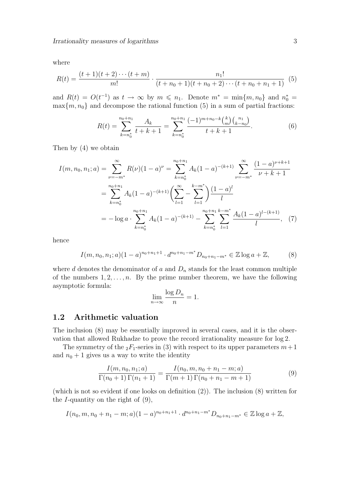where

$$
R(t) = \frac{(t+1)(t+2)\cdots(t+m)}{m!} \cdot \frac{n_1!}{(t+n_0+1)(t+n_0+2)\cdots(t+n_0+n_1+1)}
$$
(5)

and  $R(t) = O(t^{-1})$  as  $t \to \infty$  by  $m \leq n_1$ . Denote  $m^* = \min\{m, n_0\}$  and  $n_0^* =$  $\max\{m, n_0\}$  and decompose the rational function (5) in a sum of partial fractions:

$$
R(t) = \sum_{k=n_0^*}^{n_0+n_1} \frac{A_k}{t+k+1} = \sum_{k=n_0^*}^{n_0+n_1} \frac{(-1)^{m+n_0-k} {k \choose m} {n_1 \choose k-n_0}}{t+k+1}.
$$
 (6)

Then by (4) we obtain

$$
I(m, n_0, n_1; a) = \sum_{\nu=-m^*}^{\infty} R(\nu)(1-a)^{\nu} = \sum_{k=n_0^*}^{n_0+n_1} A_k (1-a)^{-(k+1)} \sum_{\nu=-m^*}^{\infty} \frac{(1-a)^{\nu+k+1}}{\nu+k+1}
$$
  
= 
$$
\sum_{k=n_0^*}^{n_0+n_1} A_k (1-a)^{-(k+1)} \left( \sum_{l=1}^{\infty} - \sum_{l=1}^{k-m^*} \right) \frac{(1-a)^l}{l}
$$
  
= 
$$
- \log a \cdot \sum_{k=n_0^*}^{n_0+n_1} A_k (1-a)^{-(k+1)} - \sum_{k=n_0^*}^{n_0+n_1} \sum_{l=1}^{k-m^*} \frac{A_k (1-a)^{l-(k+1)}}{l}, \quad (7)
$$

hence

$$
I(m, n_0, n_1; a)(1-a)^{n_0+n_1+1} \cdot d^{n_0+n_1-m^*}D_{n_0+n_1-m^*} \in \mathbb{Z} \log a + \mathbb{Z},\tag{8}
$$

where d denotes the denominator of a and  $D_n$  stands for the least common multiple of the numbers  $1, 2, \ldots, n$ . By the prime number theorem, we have the following asymptotic formula:

$$
\lim_{n \to \infty} \frac{\log D_n}{n} = 1.
$$

#### 1.2 Arithmetic valuation

The inclusion (8) may be essentially improved in several cases, and it is the observation that allowed Rukhadze to prove the record irrationality measure for log 2.

The symmetry of the  $_2F_1$ -series in (3) with respect to its upper parameters  $m+1$ and  $n_0 + 1$  gives us a way to write the identity

$$
\frac{I(m, n_0, n_1; a)}{\Gamma(n_0 + 1)\Gamma(n_1 + 1)} = \frac{I(n_0, m, n_0 + n_1 - m; a)}{\Gamma(m + 1)\Gamma(n_0 + n_1 - m + 1)}
$$
(9)

(which is not so evident if one looks on definition (2)). The inclusion (8) written for the  $I$ -quantity on the right of  $(9)$ ,

$$
I(n_0, m, n_0 + n_1 - m; a)(1 - a)^{n_0 + n_1 + 1} \cdot d^{n_0 + n_1 - m^*} D_{n_0 + n_1 - m^*} \in \mathbb{Z} \log a + \mathbb{Z},
$$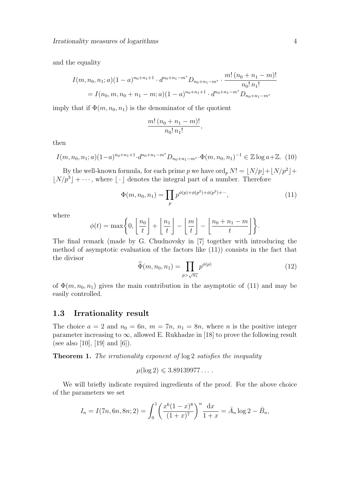and the equality

$$
I(m, n_0, n_1; a)(1-a)^{n_0+n_1+1} \cdot d^{n_0+n_1-m^*} D_{n_0+n_1-m^*} \cdot \frac{m! (n_0+n_1-m)!}{n_0! n_1!}
$$
  
=  $I(n_0, m, n_0+n_1-m; a)(1-a)^{n_0+n_1+1} \cdot d^{n_0+n_1-m^*} D_{n_0+n_1-m^*}$ 

imply that if  $\Phi(m, n_0, n_1)$  is the denominator of the quotient

$$
\frac{m! (n_0 + n_1 - m)!}{n_0! n_1!}
$$

then

$$
I(m, n_0, n_1; a)(1-a)^{n_0+n_1+1} \cdot d^{n_0+n_1-m^*} D_{n_0+n_1-m^*} \cdot \Phi(m, n_0, n_1)^{-1} \in \mathbb{Z} \log a + \mathbb{Z}. (10)
$$

By the well-known formula, for each prime p we have  $\text{ord}_p N! = \lfloor N/p \rfloor + \lfloor N/p^2 \rfloor +$  $\lfloor N/p^3 \rfloor + \cdots$ , where  $\lfloor \cdot \rfloor$  denotes the integral part of a number. Therefore

$$
\Phi(m, n_0, n_1) = \prod_p p^{\phi(p) + \phi(p^2) + \phi(p^3) + \cdots},\tag{11}
$$

,

where

$$
\phi(t) = \max\left\{0, \left\lfloor\frac{n_0}{t}\right\rfloor + \left\lfloor\frac{n_1}{t}\right\rfloor - \left\lfloor\frac{m}{t}\right\rfloor - \left\lfloor\frac{n_0 + n_1 - m}{t}\right\rfloor\right\}.
$$

The final remark (made by G. Chudnovsky in [7] together with introducing the method of asymptotic evaluation of the factors like (11)) consists in the fact that the divisor

$$
\widetilde{\Phi}(m, n_0, n_1) = \prod_{p > \sqrt{n_1}} p^{\phi(p)} \tag{12}
$$

of  $\Phi(m, n_0, n_1)$  gives the main contribution in the asymptotic of (11) and may be easily controlled.

#### 1.3 Irrationality result

The choice  $a = 2$  and  $n_0 = 6n$ ,  $m = 7n$ ,  $n_1 = 8n$ , where n is the positive integer parameter increasing to  $\infty$ , allowed E. Rukhadze in [18] to prove the following result (see also [10], [19] and [6]).

Theorem 1. The irrationality exponent of  $log 2$  satisfies the inequality

$$
\mu(\log 2) \leqslant 3.89139977\dots
$$

We will briefly indicate required ingredients of the proof. For the above choice of the parameters we set

$$
I_n = I(7n, 6n, 8n; 2) = \int_0^1 \left( \frac{x^6 (1-x)^8}{(1+x)^7} \right)^n \frac{dx}{1+x} = \bar{A}_n \log 2 - \bar{B}_n,
$$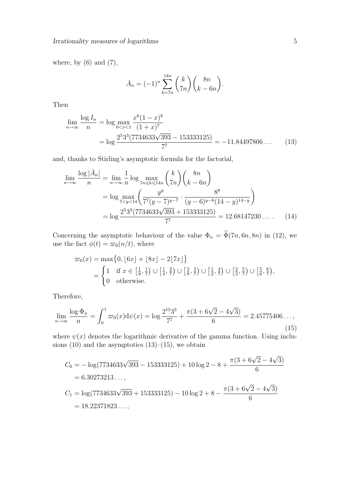where, by  $(6)$  and  $(7)$ ,

$$
\bar{A}_n = (-1)^n \sum_{k=7n}^{14n} {k \choose 7n} {8n \choose k-6n}.
$$

Then

$$
\lim_{n \to \infty} \frac{\log I_n}{n} = \log \max_{0 < x < 1} \frac{x^6 (1 - x)^8}{(1 + x)^7}
$$
\n
$$
= \log \frac{2^5 3^3 (7734633 \sqrt{393} - 153333125)}{7^7} = -11.84497806 \dots \tag{13}
$$

and, thanks to Stirling's asymptotic formula for the factorial,

$$
\lim_{n \to \infty} \frac{\log |\bar{A}_n|}{n} = \lim_{n \to \infty} \frac{1}{n} \log \max_{7n \le k \le 14n} {k \choose 7n} {8n \choose k - 6n}
$$

$$
= \log \max_{7 < y < 14} \left( \frac{y^y}{7^7 (y - 7)^{y - 7}} \cdot \frac{8^8}{(y - 6)^{y - 6} (14 - y)^{14 - y}} \right)
$$

$$
= \log \frac{2^5 3^3 (7734633 \sqrt{393} + 153333125)}{7^7} = 12.68147230\dots \qquad (14)
$$

Concerning the asymptotic behaviour of the value  $\Phi_n = \tilde{\Phi}(7n, 6n, 8n)$  in (12), we use the fact  $\phi(t) = \overline{\omega}_0(n/t)$ , where

$$
\varpi_0(x) = \max\{0, \lfloor 6x \rfloor + \lfloor 8x \rfloor - 2\lfloor 7x \rfloor\}
$$
  
= 
$$
\begin{cases} 1 & \text{if } x \in \left[\frac{1}{8}, \frac{1}{7}\right) \cup \left[\frac{1}{4}, \frac{2}{7}\right) \cup \left[\frac{3}{8}, \frac{3}{7}\right) \cup \left[\frac{1}{2}, \frac{4}{7}\right) \cup \left[\frac{2}{3}, \frac{5}{7}\right) \cup \left[\frac{5}{6}, \frac{6}{7}\right), \\ 0 & \text{otherwise.} \end{cases}
$$

Therefore,

$$
\lim_{n \to \infty} \frac{\log \Phi_n}{n} = \int_0^1 \varpi_0(x) \mathrm{d}\psi(x) = \log \frac{2^{15} 3^3}{7^7} + \frac{\pi (3 + 6\sqrt{2} - 4\sqrt{3})}{6} = 2.45775406\dots,
$$
\n(15)

where  $\psi(x)$  denotes the logarithmic derivative of the gamma function. Using inclusions  $(10)$  and the asymptotics  $(13)$ – $(15)$ , we obtain

$$
C_0 = -\log(7734633\sqrt{393} - 153333125) + 10\log 2 - 8 + \frac{\pi(3 + 6\sqrt{2} - 4\sqrt{3})}{6}
$$
  
= 6.30273213...,  

$$
C_1 = \log(7734633\sqrt{393} + 153333125) - 10\log 2 + 8 - \frac{\pi(3 + 6\sqrt{2} - 4\sqrt{3})}{6}
$$
  
= 18.22371823...,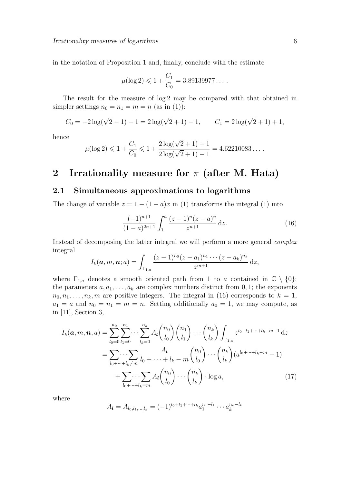in the notation of Proposition 1 and, finally, conclude with the estimate

$$
\mu(\log 2) \leq 1 + \frac{C_1}{C_0} = 3.89139977\dots.
$$

The result for the measure of log 2 may be compared with that obtained in simpler settings  $n_0 = n_1 = m = n$  (as in (1)):

$$
C_0 = -2\log(\sqrt{2} - 1) - 1 = 2\log(\sqrt{2} + 1) - 1, \qquad C_1 = 2\log(\sqrt{2} + 1) + 1,
$$

hence

$$
\mu(\log 2) \leq 1 + \frac{C_1}{C_0} \leq 1 + \frac{2\log(\sqrt{2} + 1) + 1}{2\log(\sqrt{2} + 1) - 1} = 4.62210083\ldots
$$

### 2 Irrationality measure for  $\pi$  (after M. Hata)

#### 2.1 Simultaneous approximations to logarithms

The change of variable  $z = 1 - (1 - a)x$  in (1) transforms the integral (1) into

$$
\frac{(-1)^{n+1}}{(1-a)^{2n+1}} \int_1^a \frac{(z-1)^n (z-a)^n}{z^{n+1}} dz.
$$
 (16)

Instead of decomposing the latter integral we will perform a more general complex integral

$$
I_k(\mathbf{a},m,\mathbf{n};a) = \int_{\Gamma_{1,a}} \frac{(z-1)^{n_0}(z-a_1)^{n_1}\cdots(z-a_k)^{n_k}}{z^{m+1}}\,\mathrm{d}z,
$$

where  $\Gamma_{1,a}$  denotes a smooth oriented path from 1 to a contained in  $\mathbb{C} \setminus \{0\};$ the parameters  $a, a_1, \ldots, a_k$  are complex numbers distinct from 0, 1; the exponents  $n_0, n_1, \ldots, n_k, m$  are positive integers. The integral in (16) corresponds to  $k = 1$ ,  $a_1 = a$  and  $n_0 = n_1 = m = n$ . Setting additionally  $a_0 = 1$ , we may compute, as in [11], Section 3,

$$
I_{k}(\boldsymbol{a},m,\boldsymbol{n};a) = \sum_{l_{0}=0}^{n_{0}} \sum_{l_{1}=0}^{n_{1}} \cdots \sum_{l_{k}=0}^{n_{k}} A_{l} {n_{0} \choose l_{0}} {n_{1} \choose l_{1}} \cdots {n_{k} \choose l_{k}} \int_{\Gamma_{1,a}} z^{l_{0}+l_{1}+\cdots+l_{k}-m-1} dz
$$
  

$$
= \sum_{l_{0}+\cdots+l_{k}\neq m} \frac{A_{l}}{l_{0}+\cdots+l_{k}-m} {n_{0} \choose l_{0}} \cdots {n_{k} \choose l_{k}} (a^{l_{0}+\cdots+l_{k}-m}-1)
$$
  

$$
+ \sum_{l_{0}+\cdots+l_{k}=m} A_{l} {n_{0} \choose l_{0}} \cdots {n_{k} \choose l_{k}} \cdot \log a,
$$
 (17)

where

$$
A_{\boldsymbol{l}} = A_{l_0, l_1, \ldots, l_k} = (-1)^{l_0 + l_1 + \cdots + l_k} a_1^{n_1 - l_1} \cdots a_k^{n_k - l_k}
$$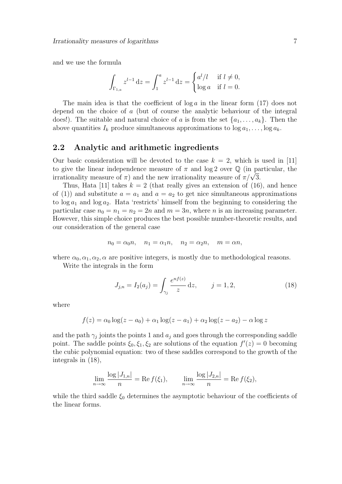and we use the formula

$$
\int_{\Gamma_{1,a}} z^{l-1} dz = \int_1^a z^{l-1} dz = \begin{cases} a^l / l & \text{if } l \neq 0, \\ \log a & \text{if } l = 0. \end{cases}
$$

The main idea is that the coefficient of  $\log a$  in the linear form (17) does not depend on the choice of a (but of course the analytic behaviour of the integral does!). The suitable and natural choice of a is from the set  $\{a_1, \ldots, a_k\}$ . Then the above quantities  $I_k$  produce simultaneous approximations to  $\log a_1, \ldots, \log a_k$ .

#### 2.2 Analytic and arithmetic ingredients

Our basic consideration will be devoted to the case  $k = 2$ , which is used in [11] to give the linear independence measure of  $\pi$  and log 2 over  $\mathbb Q$  (in particular, the to give the linear independence measure of  $\pi$  and log z over  $\psi$  (in pa<br>irrationality measure of  $\pi$ ) and the new irrationality measure of  $\pi/\sqrt{3}$ .

Thus, Hata [11] takes  $k = 2$  (that really gives an extension of (16), and hence of (1)) and substitute  $a = a_1$  and  $a = a_2$  to get nice simultaneous approximations to  $\log a_1$  and  $\log a_2$ . Hata 'restricts' himself from the beginning to considering the particular case  $n_0 = n_1 = n_2 = 2n$  and  $m = 3n$ , where n is an increasing parameter. However, this simple choice produces the best possible number-theoretic results, and our consideration of the general case

$$
n_0 = \alpha_0 n, \quad n_1 = \alpha_1 n, \quad n_2 = \alpha_2 n, \quad m = \alpha n,
$$

where  $\alpha_0, \alpha_1, \alpha_2, \alpha$  are positive integers, is mostly due to methodological reasons.

Write the integrals in the form

$$
J_{j,n} = I_2(a_j) = \int_{\gamma_j} \frac{e^{nf(z)}}{z} dz, \qquad j = 1, 2,
$$
 (18)

where

$$
f(z) = \alpha_0 \log(z - a_0) + \alpha_1 \log(z - a_1) + \alpha_2 \log(z - a_2) - \alpha \log z
$$

and the path  $\gamma_j$  joints the points 1 and  $a_j$  and goes through the corresponding saddle point. The saddle points  $\xi_0, \xi_1, \xi_2$  are solutions of the equation  $f'(z) = 0$  becoming the cubic polynomial equation: two of these saddles correspond to the growth of the integrals in (18),

$$
\lim_{n \to \infty} \frac{\log |J_{1,n}|}{n} = \text{Re } f(\xi_1), \qquad \lim_{n \to \infty} \frac{\log |J_{2,n}|}{n} = \text{Re } f(\xi_2),
$$

while the third saddle  $\xi_0$  determines the asymptotic behaviour of the coefficients of the linear forms.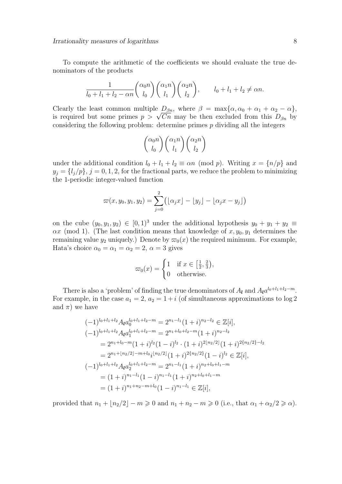To compute the arithmetic of the coefficients we should evaluate the true denominators of the products

$$
\frac{1}{l_0 + l_1 + l_2 - \alpha n} \binom{\alpha_0 n}{l_0} \binom{\alpha_1 n}{l_1} \binom{\alpha_2 n}{l_2}, \qquad l_0 + l_1 + l_2 \neq \alpha n.
$$

Clearly the least common multiple  $D_{\beta n}$ , where  $\beta = \max{\{\alpha, \alpha_0 + \alpha_1 + \alpha_2 - \alpha\}}$ , Clearly the least common multiple  $D_{\beta n}$ , where  $\rho = \max{\{\alpha, \alpha_0 + \alpha_1 + \alpha_2 - \alpha\}}$ ,<br>is required but some primes  $p > \sqrt{Cn}$  may be then excluded from this  $D_{\beta n}$  by considering the following problem: determine primes  $p$  dividing all the integers

$$
\binom{\alpha_0 n}{l_0} \binom{\alpha_1 n}{l_1} \binom{\alpha_2 n}{l_2}
$$

under the additional condition  $l_0 + l_1 + l_2 \equiv \alpha n \pmod{p}$ . Writing  $x = \{n/p\}$  and  $y_j = \{l_j/p\}, j = 0, 1, 2$ , for the fractional parts, we reduce the problem to minimizing the 1-periodic integer-valued function

$$
\varpi(x, y_0, y_1, y_2) = \sum_{j=0}^{2} (\lfloor \alpha_j x \rfloor - \lfloor y_j \rfloor - \lfloor \alpha_j x - y_j \rfloor)
$$

on the cube  $(y_0, y_1, y_2) \in [0, 1)^3$  under the additional hypothesis  $y_0 + y_1 + y_2 \equiv$  $\alpha x$  (mod 1). (The last condition means that knowledge of  $x, y_0, y_1$  determines the remaining value  $y_2$  uniquely.) Denote by  $\varpi_0(x)$  the required minimum. For example, Hata's choice  $\alpha_0 = \alpha_1 = \alpha_2 = 2, \alpha = 3$  gives

$$
\varpi_0(x) = \begin{cases} 1 & \text{if } x \in \left[\frac{1}{2}, \frac{2}{3}\right), \\ 0 & \text{otherwise.} \end{cases}
$$

There is also a 'problem' of finding the true denominators of  $A_{\mathbf{l}}$  and  $A_{\mathbf{l}}a^{\ell_0+l_1+l_2-m}$ . For example, in the case  $a_1 = 2$ ,  $a_2 = 1 + i$  (of simultaneous approximations to log 2) and  $\pi$ ) we have

$$
(-1)^{l_0+l_1+l_2} A_l a_0^{l_0+l_1+l_2-m} = 2^{n_1-l_1} (1+i)^{n_2-l_2} \in \mathbb{Z}[i],
$$
  
\n
$$
(-1)^{l_0+l_1+l_2} A_l a_1^{l_0+l_1+l_2-m} = 2^{n_1+l_0+l_2-m} (1+i)^{n_2-l_2}
$$
  
\n
$$
= 2^{n_1+l_0-m} (1+i)^{l_2} (1-i)^{l_2} \cdot (1+i)^{2\lfloor n_2/2 \rfloor} (1+i)^{2\{n_2/2\}} - l_2
$$
  
\n
$$
= 2^{n_1+l_2/2} 2^{l_1-m+l_0} i^{\lfloor n_2/2 \rfloor} (1+i)^{2\{n_2/2\}} (1-i)^{l_2} \in \mathbb{Z}[i],
$$
  
\n
$$
(-1)^{l_0+l_1+l_2} A_l a_0^{l_0+l_1+l_2-m} = 2^{n_1-l_1} (1+i)^{n_2+l_0+l_1-m}
$$
  
\n
$$
= (1+i)^{n_1-l_1} (1-i)^{n_1-l_1} (1+i)^{n_2+l_0+l_1-m}
$$
  
\n
$$
= (1+i)^{n_1+n_2-m+l_0} (1-i)^{n_1-l_1} \in \mathbb{Z}[i],
$$

provided that  $n_1 + \lfloor n_2/2 \rfloor - m \geq 0$  and  $n_1 + n_2 - m \geq 0$  (i.e., that  $\alpha_1 + \alpha_2/2 \geq \alpha$ ).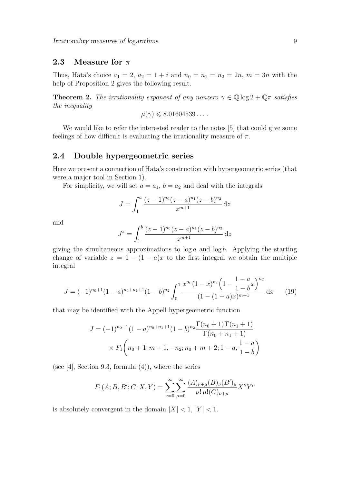### 2.3 Measure for  $\pi$

Thus, Hata's choice  $a_1 = 2$ ,  $a_2 = 1 + i$  and  $n_0 = n_1 = n_2 = 2n$ ,  $m = 3n$  with the help of Proposition 2 gives the following result.

**Theorem 2.** The irrationality exponent of any nonzero  $\gamma \in \mathbb{Q} \log 2 + \mathbb{Q} \pi$  satisfies the inequality

$$
\mu(\gamma) \leqslant 8.01604539\dots.
$$

We would like to refer the interested reader to the notes [5] that could give some feelings of how difficult is evaluating the irrationality measure of  $\pi$ .

#### 2.4 Double hypergeometric series

Here we present a connection of Hata's construction with hypergeometric series (that were a major tool in Section 1).

For simplicity, we will set  $a = a_1$ ,  $b = a_2$  and deal with the integrals

$$
J = \int_1^a \frac{(z-1)^{n_0}(z-a)^{n_1}(z-b)^{n_2}}{z^{m+1}} dz
$$

and

$$
J^* = \int_1^b \frac{(z-1)^{n_0}(z-a)^{n_1}(z-b)^{n_2}}{z^{m+1}} dz
$$

giving the simultaneous approximations to  $\log a$  and  $\log b$ . Applying the starting change of variable  $z = 1 - (1 - a)x$  to the first integral we obtain the multiple integral

$$
J = (-1)^{n_0+1} (1-a)^{n_0+n_1+1} (1-b)^{n_2} \int_0^1 \frac{x^{n_0} (1-x)^{n_1} \left(1 - \frac{1-a}{1-b}x\right)^{n_2}}{(1-(1-a)x)^{m+1}} dx \qquad (19)
$$

that may be identified with the Appell hypergeometric function

$$
J = (-1)^{n_0+1} (1-a)^{n_0+n_1+1} (1-b)^{n_2} \frac{\Gamma(n_0+1)\Gamma(n_1+1)}{\Gamma(n_0+n_1+1)}
$$
  
×  $F_1\left(n_0+1; m+1, -n_2; n_0+m+2; 1-a, \frac{1-a}{1-b}\right)$ 

(see  $[4]$ , Section 9.3, formula  $(4)$ ), where the series

$$
F_1(A;B,B';C;X,Y) = \sum_{\nu=0}^{\infty} \sum_{\mu=0}^{\infty} \frac{(A)_{\nu+\mu}(B)_{\nu}(B')_{\mu}}{\nu! \mu!(C)_{\nu+\mu}} X^{\nu} Y^{\mu}
$$

is absolutely convergent in the domain  $|X| < 1$ ,  $|Y| < 1$ .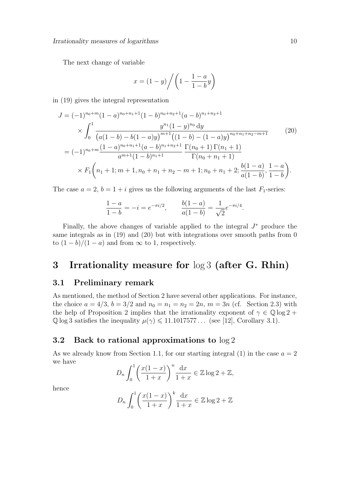The next change of variable

$$
x = (1 - y) \bigg/ \bigg( 1 - \frac{1 - a}{1 - b} y \bigg)
$$

in (19) gives the integral representation

$$
J = (-1)^{n_0+m} (1-a)^{n_0+n_1+1} (1-b)^{n_0+n_2+1} (a-b)^{n_1+n_2+1}
$$
  
\n
$$
\times \int_0^1 \frac{y^{n_1} (1-y)^{n_0} dy}{(a(1-b)-b(1-a)y)^{m+1} ((1-b)-(1-a)y)^{n_0+n_1+n_2-m+1}}
$$
(20)  
\n
$$
= (-1)^{n_0+m} \frac{(1-a)^{n_0+n_1+1} (a-b)^{n_1+n_2+1}}{a^{m+1} (1-b)^{n_1+1}} \frac{\Gamma(n_0+1) \Gamma(n_1+1)}{\Gamma(n_0+n_1+1)}
$$
  
\n
$$
\times F_1 \left( n_1+1; m+1, n_0+n_1+n_2-m+1; n_0+n_1+2; \frac{b(1-a)}{a(1-b)}, \frac{1-a}{1-b} \right).
$$

The case  $a = 2$ ,  $b = 1 + i$  gives us the following arguments of the last  $F_1$ -series:

$$
\frac{1-a}{1-b} = -i = e^{-\pi i/2}, \qquad \frac{b(1-a)}{a(1-b)} = \frac{1}{\sqrt{2}}e^{-\pi i/4}.
$$

Finally, the above changes of variable applied to the integral  $J^*$  produce the same integrals as in (19) and (20) but with integrations over smooth paths from 0 to  $(1-b)/(1-a)$  and from  $\infty$  to 1, respectively.

### 3 Irrationality measure for log 3 (after G. Rhin)

#### 3.1 Preliminary remark

As mentioned, the method of Section 2 have several other applications. For instance, the choice  $a = 4/3$ ,  $b = 3/2$  and  $n_0 = n_1 = n_2 = 2n$ ,  $m = 3n$  (cf. Section 2.3) with the help of Proposition 2 implies that the irrationality exponent of  $\gamma \in \mathbb{Q} \log 2 +$  $\mathbb{Q}$  log 3 satisfies the inequality  $\mu(\gamma) \leq 11.1017577...$  (see [12], Corollary 3.1).

#### 3.2 Back to rational approximations to log 2

As we already know from Section 1.1, for our starting integral  $(1)$  in the case  $a = 2$ we have

$$
D_n \int_0^1 \left(\frac{x(1-x)}{1+x}\right)^n \frac{\mathrm{d}x}{1+x} \in \mathbb{Z} \log 2 + \mathbb{Z},
$$

hence

$$
D_n \int_0^1 \left( \frac{x(1-x)}{1+x} \right)^k \frac{dx}{1+x} \in \mathbb{Z} \log 2 + \mathbb{Z}
$$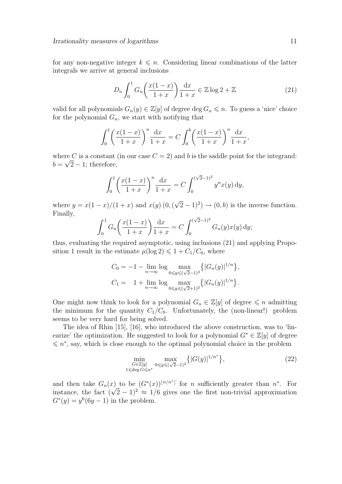for any non-negative integer  $k \leq n$ . Considering linear combinations of the latter integrals we arrive at general inclusions

$$
D_n \int_0^1 G_n \left( \frac{x(1-x)}{1+x} \right) \frac{\mathrm{d}x}{1+x} \in \mathbb{Z} \log 2 + \mathbb{Z}
$$
 (21)

valid for all polynomials  $G_n(y) \in \mathbb{Z}[y]$  of degree  $\deg G_n \leq n$ . To guess a 'nice' choice for the polynomial  $G_n$ , we start with notifying that

$$
\int_0^1 \left( \frac{x(1-x)}{1+x} \right)^n \frac{dx}{1+x} = C \int_0^b \left( \frac{x(1-x)}{1+x} \right)^n \frac{dx}{1+x},
$$

where C is a constant (in our case  $C = 2$ ) and b is the saddle point for the integrand:  $b = \sqrt{2} - 1$ ; therefore,

$$
\int_0^1 \left( \frac{x(1-x)}{1+x} \right)^n \frac{\mathrm{d}x}{1+x} = C \int_0^{(\sqrt{2}-1)^2} y^n x(y) \, \mathrm{d}y,
$$

where  $y = x(1-x)/(1+x)$  and  $x(y)$  (0, ( √  $(\overline{2} - 1)^2$   $\rightarrow$   $(0, b)$  is the inverse function. Finally, √

$$
\int_0^1 G_n\left(\frac{x(1-x)}{1+x}\right) \frac{\mathrm{d}x}{1+x} = C \int_0^{(\sqrt{2}-1)^2} G_n(y) x(y) \, \mathrm{d}y;
$$

thus, evaluating the required asymptotic, using inclusions (21) and applying Proposition 1 result in the estimate  $\mu(\log 2) \leq 1 + C_1/C_0$ , where

$$
C_0 = -1 - \lim_{n \to \infty} \log \max_{0 \le y \le (\sqrt{2}-1)^2} \{ |G_n(y)|^{1/n} \},
$$
  
\n
$$
C_1 = 1 + \lim_{n \to \infty} \log \max_{0 \le y \le (\sqrt{2}+1)^2} \{ |G_n(y)|^{1/n} \}.
$$

One might now think to look for a polynomial  $G_n \in \mathbb{Z}[y]$  of degree  $\leq n$  admitting the minimum for the quantity  $C_1/C_0$ . Unfortunately, the (non-linear!) problem seems to be very hard for being solved.

The idea of Rhin [15], [16], who introduced the above construction, was to 'linearize' the optimization. He suggested to look for a polynomial  $G^* \in \mathbb{Z}[y]$  of degree  $\leq n^*$ , say, which is close enough to the optimal polynomial choice in the problem

$$
\min_{\substack{G \in \mathbb{Z}[y] \\ 1 \le \deg G \le n^*}} \max_{0 \le y \le (\sqrt{2}-1)^2} \{ |G(y)|^{1/n^*} \},\tag{22}
$$

and then take  $G_n(x)$  to be  $(G^*(x))^{[n/n^*]}$  for n sufficiently greater than  $n^*$ . For and then take  $G_n(x)$  to be  $(G^*(x))$  and the numerical greater than n. For instance, the fact  $(\sqrt{2}-1)^2 \approx 1/6$  gives one the first non-trivial approximation  $G^*(y) = y^6(6y - 1)$  in the problem.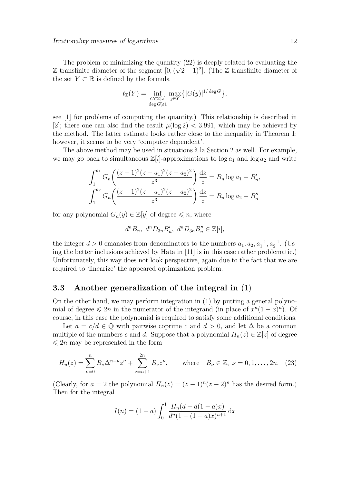The problem of minimizing the quantity  $(22)$  is deeply related to evaluating the Z-transfinite diameter of the segment [0,  $(\sqrt{2}-1)^2$ ]. (The Z-transfinite diameter of the set  $Y \subset \mathbb{R}$  is defined by the formula

$$
t_{\mathbb{Z}}(Y) = \inf_{\substack{G \in \mathbb{Z}[x] \\ \deg G \ge 1}} \max_{y \in Y} \{ |G(y)|^{1/\deg G} \},
$$

see [1] for problems of computing the quantity.) This relationship is described in [2]; there one can also find the result  $\mu(\log 2) < 3.991$ , which may be achieved by the method. The latter estimate looks rather close to the inequality in Theorem 1; however, it seems to be very 'computer dependent'.

The above method may be used in situations à la Section 2 as well. For example, we may go back to simultaneous  $\mathbb{Z}[i]$ -approximations to  $\log a_1$  and  $\log a_2$  and write

$$
\int_{1}^{a_1} G_n \left( \frac{(z-1)^2 (z-a_1)^2 (z-a_2)^2}{z^3} \right) \frac{dz}{z} = B_n \log a_1 - B'_n,
$$
  

$$
\int_{1}^{a_2} G_n \left( \frac{(z-1)^2 (z-a_1)^2 (z-a_2)^2}{z^3} \right) \frac{dz}{z} = B_n \log a_2 - B''_n
$$

for any polynomial  $G_n(y) \in \mathbb{Z}[y]$  of degree  $\leq n$ , where

$$
d^{n} B_{n}, d^{n} D_{3n} B'_{n}, d^{n} D_{3n} B''_{n} \in \mathbb{Z}[i],
$$

the integer  $d > 0$  emanates from denominators to the numbers  $a_1, a_2, a_1^{-1}, a_2^{-1}$ . (Using the better inclusions achieved by Hata in [11] is in this case rather problematic.) Unfortunately, this way does not look perspective, again due to the fact that we are required to 'linearize' the appeared optimization problem.

#### 3.3 Another generalization of the integral in (1)

On the other hand, we may perform integration in (1) by putting a general polynomial of degree  $\leq 2n$  in the numerator of the integrand (in place of  $x^{n}(1-x)^{n}$ ). Of course, in this case the polynomial is required to satisfy some additional conditions.

Let  $a = c/d \in \mathbb{Q}$  with pairwise coprime c and  $d > 0$ , and let  $\Delta$  be a common multiple of the numbers c and d. Suppose that a polynomial  $H_n(z) \in \mathbb{Z}[z]$  of degree  $\leq 2n$  may be represented in the form

$$
H_n(z) = \sum_{\nu=0}^n B_\nu \Delta^{n-\nu} z^{\nu} + \sum_{\nu=n+1}^{2n} B_\nu z^{\nu}, \quad \text{where} \quad B_\nu \in \mathbb{Z}, \ \nu = 0, 1, \dots, 2n. \tag{23}
$$

(Clearly, for  $a = 2$  the polynomial  $H_n(z) = (z - 1)^n(z - 2)^n$  has the desired form.) Then for the integral

$$
I(n) = (1 - a) \int_0^1 \frac{H_n(d - d(1 - a)x)}{d^n (1 - (1 - a)x)^{n+1}} dx
$$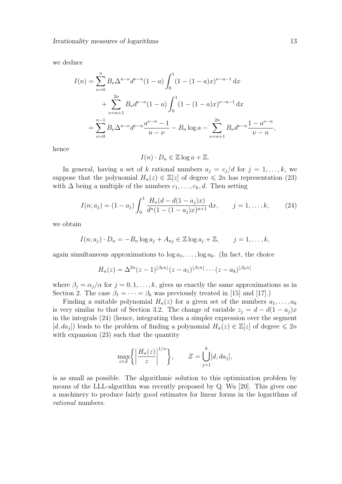we deduce

$$
I(n) = \sum_{\nu=0}^{n} B_{\nu} \Delta^{n-\nu} d^{\nu-n} (1-a) \int_{0}^{1} (1 - (1-a)x)^{\nu-n-1} dx
$$
  
+ 
$$
\sum_{\nu=n+1}^{2n} B_{\nu} d^{\nu-n} (1-a) \int_{0}^{1} (1 - (1-a)x)^{\nu-n-1} dx
$$
  
= 
$$
\sum_{\nu=0}^{n-1} B_{\nu} \Delta^{n-\nu} d^{\nu-n} \frac{a^{\nu-n} - 1}{n-\nu} - B_{n} \log a - \sum_{\nu=n+1}^{2n} B_{\nu} d^{\nu-n} \frac{1 - a^{\nu-n}}{\nu-n},
$$

hence

$$
I(n) \cdot D_n \in \mathbb{Z} \log a + \mathbb{Z}.
$$

In general, having a set of k rational numbers  $a_j = c_j/d$  for  $j = 1, \ldots, k$ , we suppose that the polynomial  $H_n(z) \in \mathbb{Z}[z]$  of degree  $\leq 2n$  has representation (23) with  $\Delta$  being a multiple of the numbers  $c_1, \ldots, c_k, d$ . Then setting

$$
I(n;a_j) = (1-a_j) \int_0^1 \frac{H_n(d-d(1-a_j)x)}{d^n(1-(1-a_j)x)^{n+1}} dx, \qquad j=1,\ldots,k,
$$
 (24)

we obtain

$$
I(n;a_j) \cdot D_n = -B_n \log a_j + A_{nj} \in \mathbb{Z} \log a_j + \mathbb{Z}, \qquad j = 1, \ldots, k,
$$

again simultaneous approximations to  $\log a_1, \ldots, \log a_k$ . (In fact, the choice

$$
H_n(z) = \Delta^{2n}(z-1)^{\lfloor \beta_0 n \rfloor}(z-a_1)^{\lfloor \beta_1 n \rfloor} \cdots (z-a_k)^{\lfloor \beta_k n \rfloor}
$$

where  $\beta_j = \alpha_j/\alpha$  for  $j = 0, 1, \ldots, k$ , gives us exactly the same approximations as in Section 2. The case  $\beta_1 = \cdots = \beta_k$  was previously treated in [15] and [17].)

Finding a suitable polynomial  $H_n(z)$  for a given set of the numbers  $a_1, \ldots, a_k$ is very similar to that of Section 3.2. The change of variable  $z_j = d - d(1 - a_j)x$ in the integrals (24) (hence, integrating then a simpler expression over the segment  $[d, da_j]$ ) leads to the problem of finding a polynomial  $H_n(z) \in \mathbb{Z}[z]$  of degree  $\leq 2n$ with expansion  $(23)$  such that the quantity

$$
\max_{z \in Z} \left\{ \left| \frac{H_n(z)}{z} \right|^{1/n} \right\}, \qquad Z = \bigcup_{j=1}^k [d, da_j],
$$

is as small as possible. The algorithmic solution to this optimization problem by means of the LLL-algorithm was recently proposed by Q. Wu [20]. This gives one a machinery to produce fairly good estimates for linear forms in the logarithms of rational numbers.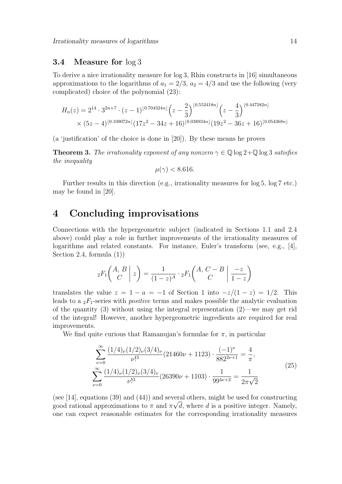#### 3.4 Measure for log 3

To derive a nice irrationality measure for log 3, Rhin constructs in [16] simultaneous approximations to the logarithms of  $a_1 = 2/3$ ,  $a_2 = 4/3$  and use the following (very complicated) choice of the polynomial (23):

$$
H_n(z) = 2^{14} \cdot 3^{2n+7} \cdot (z-1)^{\lfloor 0.704324n \rfloor} \left(z - \frac{2}{3}\right)^{\lfloor 0.552418n \rfloor} \left(z - \frac{4}{3}\right)^{\lfloor 0.447582n \rfloor}
$$
  
×  $(5z-4)^{\lfloor 0.109072n \rfloor} (17z^2 - 34z + 16)^{\lfloor 0.038934n \rfloor} (19z^2 - 36z + 16)^{\lfloor 0.054368n \rfloor}$ 

(a 'justification' of the choice is done in [20]). By these means he proves

**Theorem 3.** The irrationality exponent of any nonzero  $\gamma \in \mathbb{Q}$  log 2+ $\mathbb{Q}$  log 3 satisfies the inequality

$$
\mu(\gamma) < 8.616
$$

Further results in this direction (e.g., irrationality measures for  $\log 5$ ,  $\log 7$  etc.) may be found in [20].

## 4 Concluding improvisations

Connections with the hypergeometric subject (indicated in Sections 1.1 and 2.4 above) could play a role in further improvements of the irrationality measures of logarithms and related constants. For instance, Euler's transform (see, e.g., [4], Section 2.4, formula (1))

$$
{}_2F_1\left(\begin{array}{c|c}A,B\\C\end{array}\;\middle|\;z\right)=\frac{1}{(1-z)^A}\cdot {}_2F_1\left(\begin{array}{c|c}A,C-B\\C\end{array}\;\middle|\; \frac{-z}{1-z}\right)
$$

translates the value  $z = 1 - a = -1$  of Section 1 into  $-z/(1-z) = 1/2$ . This leads to a  $_2F_1$ -series with *positive* terms and makes possible the analytic evaluation of the quantity (3) without using the integral representation  $(2)$ —we may get rid of the integral! However, another hypergeometric ingredients are required for real improvements.

We find quite curious that Ramanujan's formulae for  $\pi$ , in particular

$$
\sum_{\nu=0}^{\infty} \frac{(1/4)_{\nu} (1/2)_{\nu} (3/4)_{\nu}}{\nu!^{3}} (21460\nu + 1123) \cdot \frac{(-1)^{\nu}}{882^{2\nu+1}} = \frac{4}{\pi},
$$
\n
$$
\sum_{\nu=0}^{\infty} \frac{(1/4)_{\nu} (1/2)_{\nu} (3/4)_{\nu}}{\nu!^{3}} (26390\nu + 1103) \cdot \frac{1}{99^{4\nu+2}} = \frac{1}{2\pi\sqrt{2}}
$$
\n(25)

(see [14], equations (39) and (44)) and several others, might be used for constructing good rational approximations to  $\pi$  and  $\pi \sqrt{d}$ , where d is a positive integer. Namely, one can expect reasonable estimates for the corresponding irrationality measures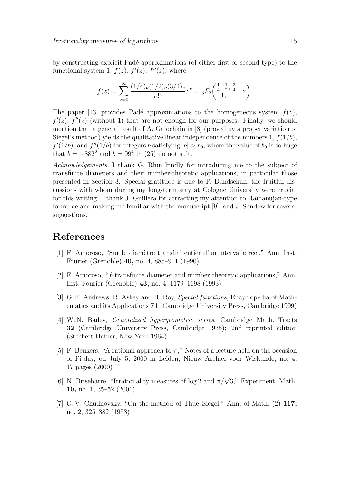by constructing explicit Pad´e approximations (of either first or second type) to the functional system 1,  $f(z)$ ,  $f'(z)$ ,  $f''(z)$ , where

$$
f(z) = \sum_{\nu=0}^{\infty} \frac{(1/4)_{\nu} (1/2)_{\nu} (3/4)_{\nu}}{\nu!^{3}} z^{\nu} = {}_{3}F_{2}\left(\begin{array}{cc|c} \frac{1}{4}, & \frac{1}{2}, & \frac{3}{4} \\ 1, & 1 \end{array} \bigg| z\right).
$$

The paper [13] provides Padé approximations to the homogeneous system  $f(z)$ ,  $f'(z)$ ,  $f''(z)$  (without 1) that are not enough for our purposes. Finally, we should mention that a general result of A. Galochkin in [8] (proved by a proper variation of Siegel's method) yields the qualitative linear independence of the numbers 1,  $f(1/b)$ ,  $f'(1/b)$ , and  $f''(1/b)$  for integers b satisfying  $|b| > b_0$ , where the value of  $b_0$  is so huge that  $b = -882^2$  and  $b = 99^4$  in (25) do not suit.

Acknowledgements. I thank G. Rhin kindly for introducing me to the subject of transfinite diameters and their number-theoretic applications, in particular those presented in Section 3. Special gratitude is due to P. Bundschuh, the fruitful discussions with whom during my long-term stay at Cologne University were crucial for this writing. I thank J. Guillera for attracting my attention to Ramanujan-type formulae and making me familiar with the manuscript [9], and J. Sondow for several suggestions.

### References

- [1] F. Amoroso, "Sur le diamètre transfini entier d'un intervalle réel," Ann. Inst. Fourier (Grenoble) 40, no. 4, 885–911 (1990)
- [2] F. Amoroso, "f-transfinite diameter and number theoretic applications," Ann. Inst. Fourier (Grenoble) 43, no. 4, 1179–1198 (1993)
- [3] G. E. Andrews, R. Askey and R. Roy, Special functions, Encyclopedia of Mathematics and its Applications 71 (Cambridge University Press, Cambridge 1999)
- [4] W. N. Bailey, Generalized hypergeometric series, Cambridge Math. Tracts 32 (Cambridge University Press, Cambridge 1935); 2nd reprinted edition (Stechert-Hafner, New York 1964)
- [5] F. Beukers, "A rational approach to  $\pi$ ," Notes of a lecture held on the occasion of Pi-day, on July 5, 2000 in Leiden, Nieuw Archief voor Wiskunde, no. 4, 17 pages (2000)
- [6] N. Brisebarre, "Irrationality measures of log 2 and  $\pi/\sqrt{3}$ ," Experiment. Math. 10, no. 1, 35–52 (2001)
- [7] G. V. Chudnovsky, "On the method of Thue–Siegel," Ann. of Math. (2) 117, no. 2, 325–382 (1983)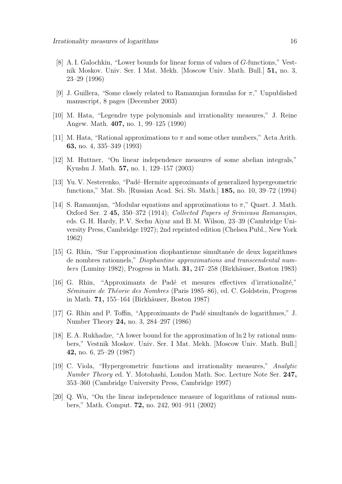- [8] A. I. Galochkin, "Lower bounds for linear forms of values of G-functions," Vestnik Moskov. Univ. Ser. I Mat. Mekh. [Moscow Univ. Math. Bull.] 51, no. 3, 23–29 (1996)
- [9] J. Guillera, "Some closely related to Ramanujan formulas for  $\pi$ ," Unpublished manuscript, 8 pages (December 2003)
- [10] M. Hata, "Legendre type polynomials and irrationality measures," J. Reine Angew. Math. 407, no. 1, 99–125 (1990)
- [11] M. Hata, "Rational approximations to  $\pi$  and some other numbers," Acta Arith. 63, no. 4, 335–349 (1993)
- [12] M. Huttner, "On linear independence measures of some abelian integrals," Kyushu J. Math. 57, no. 1, 129–157 (2003)
- [13] Yu. V. Nesterenko, "Padé–Hermite approximants of generalized hypergeometric functions," Mat. Sb. [Russian Acad. Sci. Sb. Math.] 185, no. 10, 39–72 (1994)
- [14] S. Ramanujan, "Modular equations and approximations to  $\pi$ ," Quart. J. Math. Oxford Ser. 2 45, 350–372 (1914); Collected Papers of Srinivasa Ramanujan, eds. G. H. Hardy, P. V. Sechu Aiyar and B. M. Wilson, 23–39 (Cambridge University Press, Cambridge 1927); 2nd reprinted edition (Chelsea Publ., New York 1962)
- [15] G. Rhin, "Sur l'approximation diophantienne simultan´ee de deux logarithmes de nombres rationnels," Diophantine approximations and transcendental num $bers$  (Luminy 1982), Progress in Math. 31, 247–258 (Birkhäuser, Boston 1983)
- [16] G. Rhin, "Approximants de Padé et mesures effectives d'irrationalité," Séminaire de Théorie des Nombres (Paris 1985–86), ed. C. Goldstein, Progress in Math. 71, 155–164 (Birkhäuser, Boston 1987)
- [17] G. Rhin and P. Toffin, "Approximants de Padé simultanés de logarithmes," J. Number Theory 24, no. 3, 284–297 (1986)
- [18] E. A. Rukhadze, "A lower bound for the approximation of ln 2 by rational numbers," Vestnik Moskov. Univ. Ser. I Mat. Mekh. [Moscow Univ. Math. Bull.] 42, no. 6, 25–29 (1987)
- [19] C. Viola, "Hypergeometric functions and irrationality measures," Analytic Number Theory ed. Y. Motohashi, London Math. Soc. Lecture Note Ser. 247, 353–360 (Cambridge University Press, Cambridge 1997)
- [20] Q. Wu, "On the linear independence measure of logarithms of rational numbers," Math. Comput. 72, no. 242, 901–911 (2002)